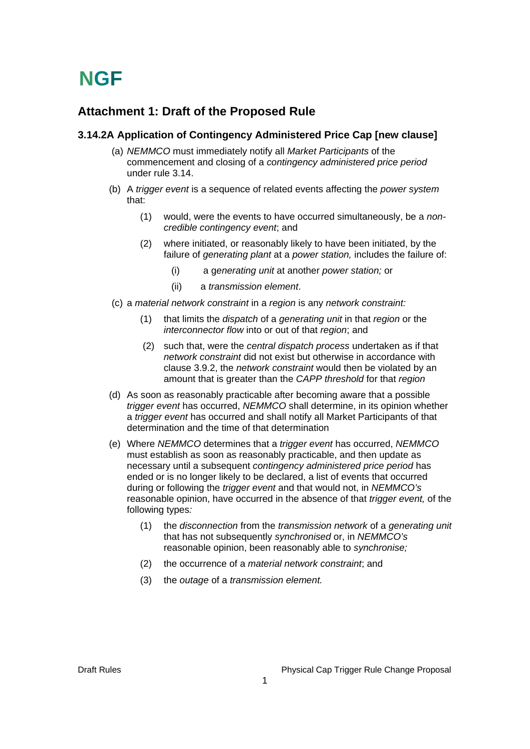### **Attachment 1: Draft of the Proposed Rule**

#### **3.14.2A Application of Contingency Administered Price Cap [new clause]**

- (a) *NEMMCO* must immediately notify all *Market Participants* of the commencement and closing of a *contingency administered price period*  under rule 3.14.
- (b) A *trigger event* is a sequence of related events affecting the *power system* that:
	- (1) would, were the events to have occurred simultaneously, be a *noncredible contingency event*; and
	- (2) where initiated, or reasonably likely to have been initiated, by the failure of *generating plant* at a *power station,* includes the failure of:
		- (i) a g*enerating unit* at another *power station;* or
		- (ii) a *transmission element*.
- (c) a *material network constraint* in a *region* is any *network constraint:*
	- (1) that limits the *dispatch* of a *generating unit* in that *region* or the *interconnector flow* into or out of that *region*; and
	- (2) such that, were the *central dispatch process* undertaken as if that *network constraint* did not exist but otherwise in accordance with clause 3.9.2, the *network constraint* would then be violated by an amount that is greater than the *CAPP threshold* for that *region*
- (d) As soon as reasonably practicable after becoming aware that a possible *trigger event* has occurred, *NEMMCO* shall determine, in its opinion whether a *trigger event* has occurred and shall notify all Market Participants of that determination and the time of that determination
- (e) Where *NEMMCO* determines that a *trigger event* has occurred, *NEMMCO* must establish as soon as reasonably practicable, and then update as necessary until a subsequent *contingency administered price period* has ended or is no longer likely to be declared, a list of events that occurred during or following the *trigger event* and that would not, in *NEMMCO's* reasonable opinion, have occurred in the absence of that *trigger event,* of the following types*:*
	- (1) the *disconnection* from the *transmission network* of a *generating unit* that has not subsequently *synchronised* or, in *NEMMCO's* reasonable opinion, been reasonably able to *synchronise;*
	- (2) the occurrence of a *material network constraint*; and
	- (3) the *outage* of a *transmission element.*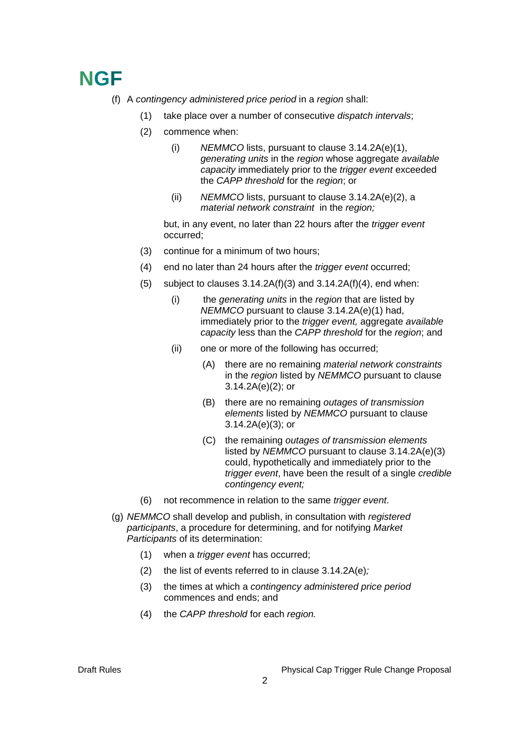- (f) A *contingency administered price period* in a *region* shall:
	- (1) take place over a number of consecutive *dispatch intervals*;
	- (2) commence when:
		- (i) *NEMMCO* lists, pursuant to clause 3.14.2A(e)(1), *generating units* in the *region* whose aggregate *available capacity* immediately prior to the *trigger event* exceeded the *CAPP threshold* for the *region*; or
		- (ii) *NEMMCO* lists, pursuant to clause 3.14.2A(e)(2), a *material network constraint* in the *region;*

 but, in any event, no later than 22 hours after the *trigger event* occurred;

- (3) continue for a minimum of two hours;
- (4) end no later than 24 hours after the *trigger event* occurred;
- (5) subject to clauses  $3.14.2A(f)(3)$  and  $3.14.2A(f)(4)$ , end when:
	- (i) the *generating units* in the *region* that are listed by *NEMMCO* pursuant to clause 3.14.2A(e)(1) had, immediately prior to the *trigger event,* aggregate *available capacity* less than the *CAPP threshold* for the *region*; and
	- (ii) one or more of the following has occurred;
		- (A) there are no remaining *material network constraints* in the *region* listed by *NEMMCO* pursuant to clause 3.14.2A(e)(2); or
		- (B) there are no remaining *outages of transmission elements* listed by *NEMMCO* pursuant to clause 3.14.2A(e)(3); or
		- (C) the remaining *outages of transmission elements* listed by *NEMMCO* pursuant to clause 3.14.2A(e)(3) could, hypothetically and immediately prior to the *trigger event*, have been the result of a single *credible contingency event;*
- (6) not recommence in relation to the same *trigger event*.
- (g) *NEMMCO* shall develop and publish, in consultation with *registered participants*, a procedure for determining, and for notifying *Market Participants* of its determination:
	- (1) when a *trigger event* has occurred;
	- (2) the list of events referred to in clause 3.14.2A(e)*;*
	- (3) the times at which a *contingency administered price period* commences and ends; and
	- (4) the *CAPP threshold* for each *region.*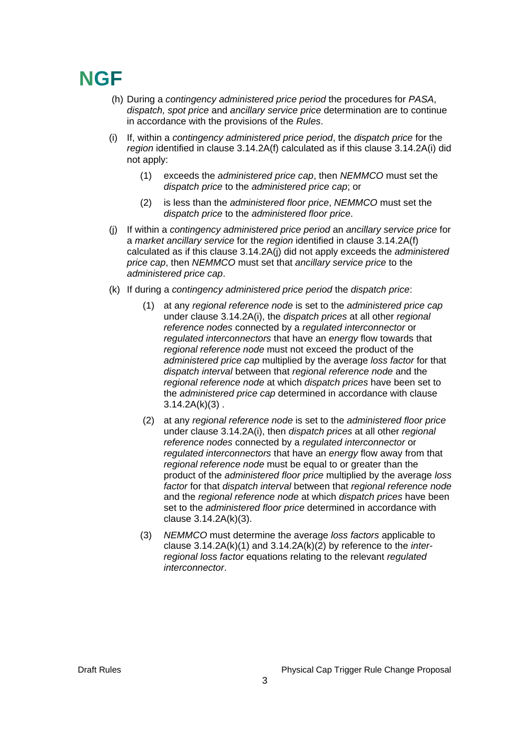- (h) During a *contingency administered price period* the procedures for *PASA*, *dispatch, spot price* and *ancillary service price* determination are to continue in accordance with the provisions of the *Rules*.
- (i) If, within a *contingency administered price period*, the *dispatch price* for the region identified in clause 3.14.2A(f) calculated as if this clause 3.14.2A(i) did not apply:
	- (1) exceeds the *administered price cap*, then *NEMMCO* must set the *dispatch price* to the *administered price cap*; or
	- (2) is less than the *administered floor price*, *NEMMCO* must set the *dispatch price* to the *administered floor price*.
- (j) If within a *contingency administered price period* an *ancillary service price* for a *market ancillary service* for the *region* identified in clause 3.14.2A(f) calculated as if this clause 3.14.2A(j) did not apply exceeds the *administered price cap*, then *NEMMCO* must set that *ancillary service price* to the *administered price cap*.
- (k) If during a *contingency administered price period* the *dispatch price*:
	- (1) at any *regional reference node* is set to the *administered price cap*  under clause 3.14.2A(i), the *dispatch prices* at all other *regional reference nodes* connected by a *regulated interconnector* or *regulated interconnectors* that have an *energy* flow towards that *regional reference node* must not exceed the product of the *administered price cap* multiplied by the average *loss factor* for that *dispatch interval* between that *regional reference node* and the *regional reference node* at which *dispatch prices* have been set to the *administered price cap* determined in accordance with clause  $3.14.2A(k)(3)$ .
	- (2) at any *regional reference node* is set to the *administered floor price* under clause 3.14.2A(i), then *dispatch prices* at all other *regional reference nodes* connected by a *regulated interconnector* or *regulated interconnectors* that have an *energy* flow away from that *regional reference node* must be equal to or greater than the product of the *administered floor price* multiplied by the average *loss factor* for that *dispatch interval* between that *regional reference node* and the *regional reference node* at which *dispatch prices* have been set to the *administered floor price* determined in accordance with clause 3.14.2A(k)(3).
	- (3) *NEMMCO* must determine the average *loss factors* applicable to clause 3.14.2A(k)(1) and 3.14.2A(k)(2) by reference to the *interregional loss factor* equations relating to the relevant *regulated interconnector*.